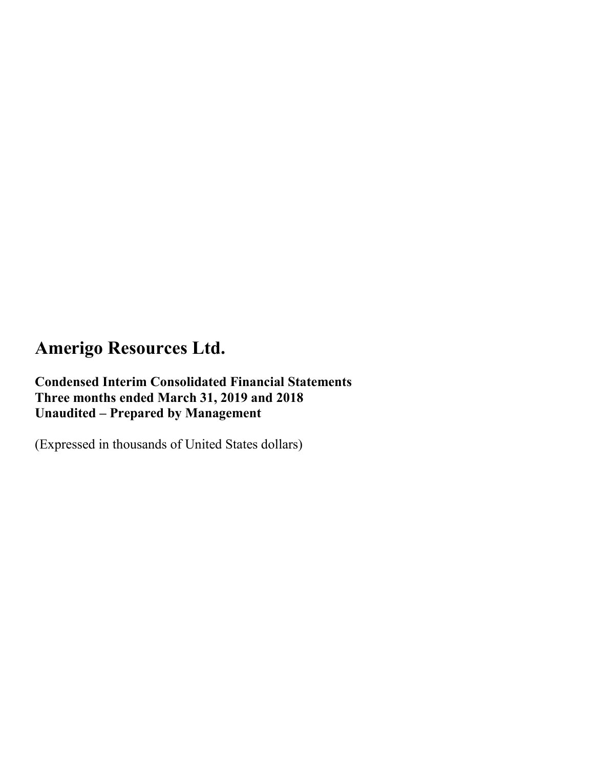**Condensed Interim Consolidated Financial Statements Three months ended March 31, 2019 and 2018 Unaudited – Prepared by Management**

(Expressed in thousands of United States dollars)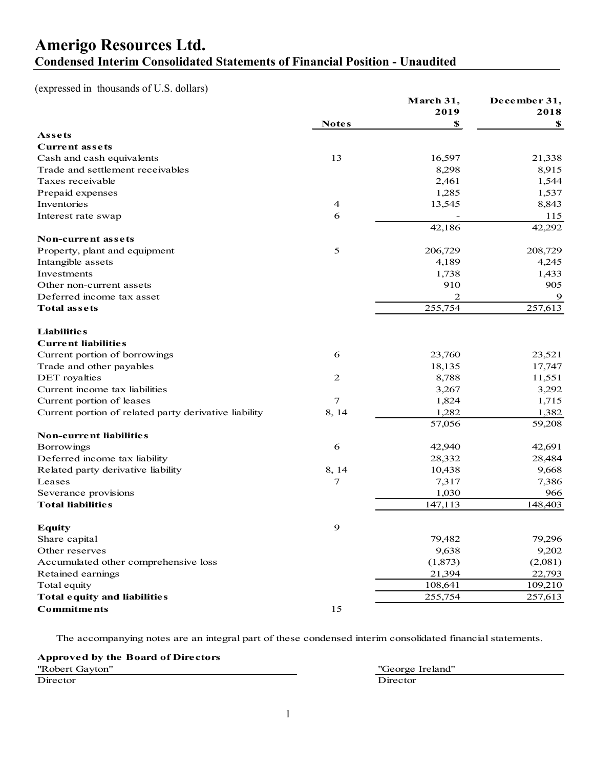### **Amerigo Resources Ltd. Condensed Interim Consolidated Statements of Financial Position - Unaudited**

(expressed in thousands of U.S. dollars)

|                                                       |              | March 31, | December 31, |
|-------------------------------------------------------|--------------|-----------|--------------|
|                                                       |              | 2019      | 2018         |
|                                                       | <b>Notes</b> | \$        | S            |
| Assets                                                |              |           |              |
| <b>Current assets</b>                                 |              |           |              |
| Cash and cash equivalents                             | 13           | 16,597    | 21,338       |
| Trade and settlement receivables                      |              | 8,298     | 8,915        |
| Taxes receivable                                      |              | 2,461     | 1,544        |
| Prepaid expenses                                      |              | 1,285     | 1,537        |
| Inventories                                           | 4            | 13,545    | 8,843        |
| Interest rate swap                                    | 6            |           | 115          |
|                                                       |              | 42,186    | 42,292       |
| Non-current assets                                    |              |           |              |
| Property, plant and equipment                         | 5            | 206,729   | 208,729      |
| Intangible assets                                     |              | 4,189     | 4,245        |
| Investments                                           |              | 1,738     | 1,433        |
| Other non-current assets                              |              | 910       | 905          |
| Deferred income tax asset                             |              | 2         | 9            |
| <b>Total assets</b>                                   |              | 255,754   | 257,613      |
| <b>Liabilities</b>                                    |              |           |              |
| <b>Current liabilities</b>                            |              |           |              |
| Current portion of borrowings                         | 6            | 23,760    | 23,521       |
| Trade and other payables                              |              | 18,135    | 17,747       |
| DET royalties                                         | 2            | 8,788     | 11,551       |
| Current income tax liabilities                        |              | 3,267     | 3,292        |
| Current portion of leases                             | 7            | 1,824     | 1,715        |
| Current portion of related party derivative liability | 8, 14        | 1,282     | 1,382        |
|                                                       |              | 57,056    | 59,208       |
| <b>Non-current liabilities</b>                        |              |           |              |
| Borrowings                                            | 6            | 42,940    | 42,691       |
| Deferred income tax liability                         |              | 28,332    | 28,484       |
| Related party derivative liability                    | 8, 14        | 10,438    | 9,668        |
| Leases                                                | 7            | 7,317     | 7,386        |
| Severance provisions                                  |              | 1,030     | 966          |
| <b>Total liabilities</b>                              |              | 147,113   | 148,403      |
| Equity                                                | 9            |           |              |
| Share capital                                         |              | 79,482    | 79,296       |
| Other reserves                                        |              | 9,638     | 9,202        |
| Accumulated other comprehensive loss                  |              | (1,873)   | (2,081)      |
| Retained earnings                                     |              | 21,394    | 22,793       |
| Total equity                                          |              | 108,641   | 109,210      |
| <b>Total equity and liabilities</b>                   |              | 255,754   | 257,613      |
| <b>Commitments</b>                                    | 15           |           |              |

The accompanying notes are an integral part of these condensed interim consolidated financial statements.

**Approved by the Board of Directors** "Robert Gayton" "George Ireland" Director Director Director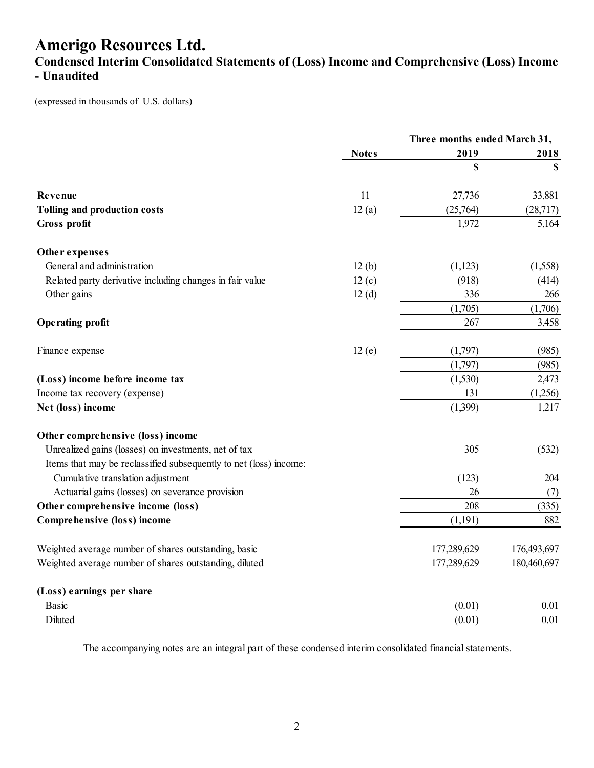### **Condensed Interim Consolidated Statements of (Loss) Income and Comprehensive (Loss) Income - Unaudited**

(expressed in thousands of U.S. dollars)

|                                                                   |              | Three months ended March 31, |             |
|-------------------------------------------------------------------|--------------|------------------------------|-------------|
|                                                                   | <b>Notes</b> | 2019                         | 2018        |
|                                                                   |              | \$                           | $\mathbf S$ |
| Revenue                                                           | 11           | 27,736                       | 33,881      |
| Tolling and production costs                                      | 12(a)        | (25,764)                     | (28,717)    |
| Gross profit                                                      |              | 1,972                        | 5,164       |
| Other expenses                                                    |              |                              |             |
| General and administration                                        | 12(b)        | (1,123)                      | (1,558)     |
| Related party derivative including changes in fair value          | 12(c)        | (918)                        | (414)       |
| Other gains                                                       | 12(d)        | 336                          | 266         |
|                                                                   |              | (1,705)                      | (1,706)     |
| <b>Operating profit</b>                                           |              | 267                          | 3,458       |
| Finance expense                                                   | 12(e)        | (1,797)                      | (985)       |
|                                                                   |              | (1,797)                      | (985)       |
| (Loss) income before income tax                                   |              | (1,530)                      | 2,473       |
| Income tax recovery (expense)                                     |              | 131                          | (1,256)     |
| Net (loss) income                                                 |              | (1,399)                      | 1,217       |
| Other comprehensive (loss) income                                 |              |                              |             |
| Unrealized gains (losses) on investments, net of tax              |              | 305                          | (532)       |
| Items that may be reclassified subsequently to net (loss) income: |              |                              |             |
| Cumulative translation adjustment                                 |              | (123)                        | 204         |
| Actuarial gains (losses) on severance provision                   |              | 26                           | (7)         |
| Other comprehensive income (loss)                                 |              | 208                          | (335)       |
| Comprehensive (loss) income                                       |              | (1,191)                      | 882         |
| Weighted average number of shares outstanding, basic              |              | 177,289,629                  | 176,493,697 |
| Weighted average number of shares outstanding, diluted            |              | 177,289,629                  | 180,460,697 |
| (Loss) earnings per share                                         |              |                              |             |
| <b>Basic</b>                                                      |              | (0.01)                       | 0.01        |
| Diluted                                                           |              | (0.01)                       | 0.01        |

The accompanying notes are an integral part of these condensed interim consolidated financial statements.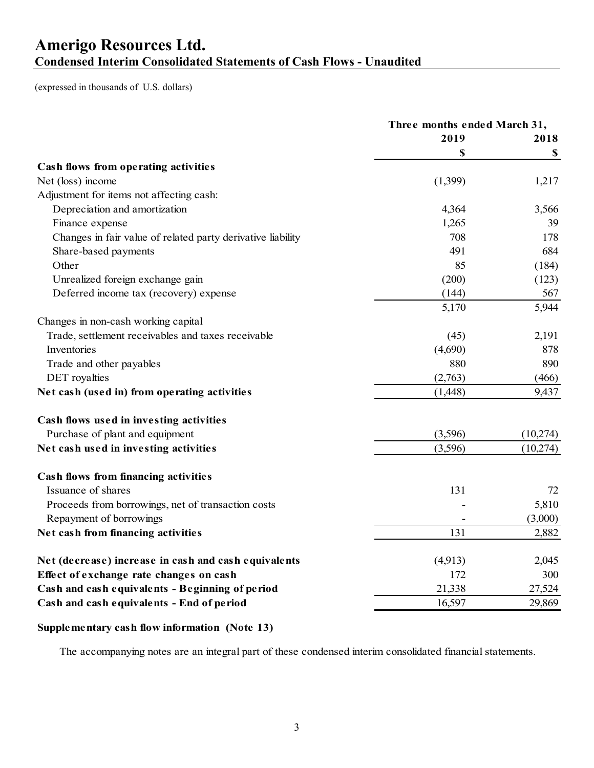### **Amerigo Resources Ltd. Condensed Interim Consolidated Statements of Cash Flows - Unaudited**

(expressed in thousands of U.S. dollars)

|                                                             | Three months ended March 31, |               |
|-------------------------------------------------------------|------------------------------|---------------|
|                                                             | 2019                         | 2018          |
|                                                             | \$                           | $\mathbf{\$}$ |
| Cash flows from operating activities                        |                              |               |
| Net (loss) income                                           | (1,399)                      | 1,217         |
| Adjustment for items not affecting cash:                    |                              |               |
| Depreciation and amortization                               | 4,364                        | 3,566         |
| Finance expense                                             | 1,265                        | 39            |
| Changes in fair value of related party derivative liability | 708                          | 178           |
| Share-based payments                                        | 491                          | 684           |
| Other                                                       | 85                           | (184)         |
| Unrealized foreign exchange gain                            | (200)                        | (123)         |
| Deferred income tax (recovery) expense                      | (144)                        | 567           |
|                                                             | 5,170                        | 5,944         |
| Changes in non-cash working capital                         |                              |               |
| Trade, settlement receivables and taxes receivable          | (45)                         | 2,191         |
| Inventories                                                 | (4,690)                      | 878           |
| Trade and other payables                                    | 880                          | 890           |
| DET royalties                                               | (2,763)                      | (466)         |
| Net cash (used in) from operating activities                | (1,448)                      | 9,437         |
| Cash flows used in investing activities                     |                              |               |
| Purchase of plant and equipment                             | (3,596)                      | (10,274)      |
| Net cash used in investing activities                       | (3,596)                      | (10,274)      |
| Cash flows from financing activities                        |                              |               |
| Issuance of shares                                          | 131                          | 72            |
| Proceeds from borrowings, net of transaction costs          |                              | 5,810         |
| Repayment of borrowings                                     |                              | (3,000)       |
| Net cash from financing activities                          | 131                          | 2,882         |
| Net (decrease) increase in cash and cash equivalents        | (4,913)                      | 2,045         |
| Effect of exchange rate changes on cash                     | 172                          | 300           |
| Cash and cash equivalents - Beginning of period             | 21,338                       | 27,524        |
| Cash and cash equivalents - End of period                   | 16,597                       | 29,869        |

### **Supplementary cash flow information (Note 13)**

The accompanying notes are an integral part of these condensed interim consolidated financial statements.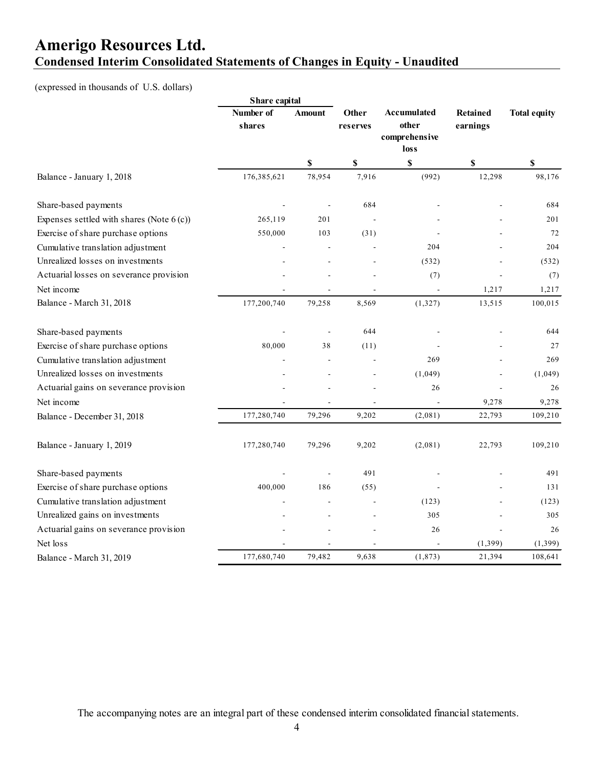## **Amerigo Resources Ltd. Condensed Interim Consolidated Statements of Changes in Equity - Unaudited**

(expressed in thousands of U.S. dollars)

|                                             | Share capital       |        |                           |                                               |                             |                     |
|---------------------------------------------|---------------------|--------|---------------------------|-----------------------------------------------|-----------------------------|---------------------|
|                                             | Number of<br>shares | Amount | Other<br>reserves         | Accumulated<br>other<br>comprehensive<br>loss | <b>Retained</b><br>earnings | <b>Total equity</b> |
|                                             |                     | \$     | $\boldsymbol{\mathsf{S}}$ | $\boldsymbol{\mathsf{S}}$                     | $\boldsymbol{\mathsf{S}}$   | \$                  |
| Balance - January 1, 2018                   | 176,385,621         | 78,954 | 7,916                     | (992)                                         | 12,298                      | 98,176              |
| Share-based payments                        |                     |        | 684                       |                                               |                             | 684                 |
| Expenses settled with shares (Note $6(c)$ ) | 265,119             | 201    |                           |                                               |                             | 201                 |
| Exercise of share purchase options          | 550,000             | 103    | (31)                      |                                               |                             | 72                  |
| Cumulative translation adjustment           |                     |        |                           | 204                                           |                             | 204                 |
| Unrealized losses on investments            |                     |        |                           | (532)                                         |                             | (532)               |
| Actuarial losses on severance provision     |                     |        |                           | (7)                                           |                             | (7)                 |
| Net income                                  |                     |        |                           |                                               | 1,217                       | 1,217               |
| Balance - March 31, 2018                    | 177,200,740         | 79,258 | 8,569                     | (1, 327)                                      | 13,515                      | 100,015             |
| Share-based payments                        |                     |        | 644                       |                                               |                             | 644                 |
| Exercise of share purchase options          | 80,000              | 38     | (11)                      |                                               |                             | 27                  |
| Cumulative translation adjustment           |                     | ÷.     |                           | 269                                           |                             | 269                 |
| Unrealized losses on investments            |                     |        |                           | (1,049)                                       |                             | (1,049)             |
| Actuarial gains on severance provision      |                     |        |                           | 26                                            |                             | 26                  |
| Net income                                  |                     |        |                           |                                               | 9,278                       | 9,278               |
| Balance - December 31, 2018                 | 177,280,740         | 79,296 | 9,202                     | (2,081)                                       | 22,793                      | 109,210             |
| Balance - January 1, 2019                   | 177,280,740         | 79,296 | 9,202                     | (2,081)                                       | 22,793                      | 109,210             |
| Share-based payments                        |                     |        | 491                       |                                               |                             | 491                 |
| Exercise of share purchase options          | 400,000             | 186    | (55)                      |                                               |                             | 131                 |
| Cumulative translation adjustment           |                     |        |                           | (123)                                         |                             | (123)               |
| Unrealized gains on investments             |                     |        |                           | 305                                           |                             | 305                 |
| Actuarial gains on severance provision      |                     |        |                           | 26                                            |                             | 26                  |
| Net loss                                    |                     |        |                           |                                               | (1, 399)                    | (1, 399)            |
| Balance - March 31, 2019                    | 177,680,740         | 79,482 | 9,638                     | (1, 873)                                      | 21,394                      | 108,641             |

The accompanying notes are an integral part of these condensed interim consolidated financial statements.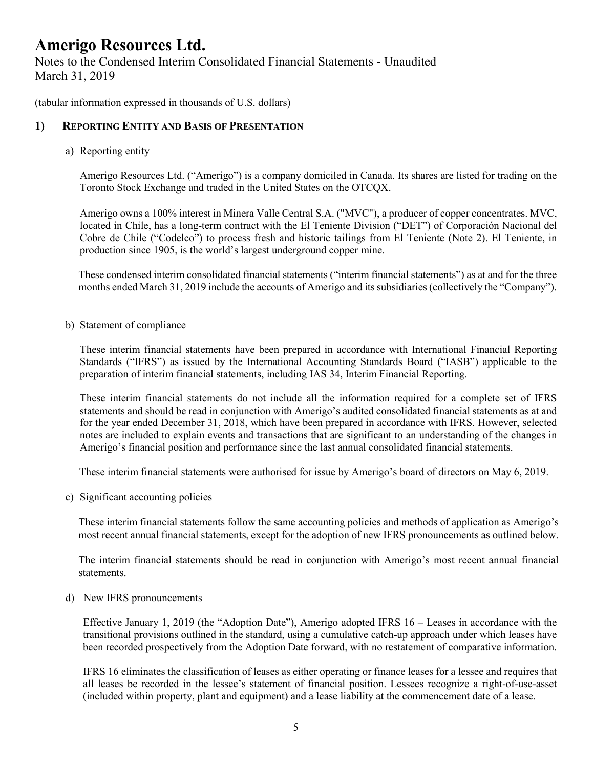Notes to the Condensed Interim Consolidated Financial Statements - Unaudited March 31, 2019

(tabular information expressed in thousands of U.S. dollars)

#### **1) REPORTING ENTITY AND BASIS OF PRESENTATION**

a) Reporting entity

Amerigo Resources Ltd. ("Amerigo") is a company domiciled in Canada. Its shares are listed for trading on the Toronto Stock Exchange and traded in the United States on the OTCQX.

Amerigo owns a 100% interest in Minera Valle Central S.A. ("MVC"), a producer of copper concentrates. MVC, located in Chile, has a long-term contract with the El Teniente Division ("DET") of Corporación Nacional del Cobre de Chile ("Codelco") to process fresh and historic tailings from El Teniente (Note 2). El Teniente, in production since 1905, is the world's largest underground copper mine.

These condensed interim consolidated financial statements ("interim financial statements") as at and for the three months ended March 31, 2019 include the accounts of Amerigo and its subsidiaries (collectively the "Company").

b) Statement of compliance

These interim financial statements have been prepared in accordance with International Financial Reporting Standards ("IFRS") as issued by the International Accounting Standards Board ("IASB") applicable to the preparation of interim financial statements, including IAS 34, Interim Financial Reporting.

These interim financial statements do not include all the information required for a complete set of IFRS statements and should be read in conjunction with Amerigo's audited consolidated financial statements as at and for the year ended December 31, 2018, which have been prepared in accordance with IFRS. However, selected notes are included to explain events and transactions that are significant to an understanding of the changes in Amerigo's financial position and performance since the last annual consolidated financial statements.

These interim financial statements were authorised for issue by Amerigo's board of directors on May 6, 2019.

c) Significant accounting policies

These interim financial statements follow the same accounting policies and methods of application as Amerigo's most recent annual financial statements, except for the adoption of new IFRS pronouncements as outlined below.

The interim financial statements should be read in conjunction with Amerigo's most recent annual financial statements.

d) New IFRS pronouncements

Effective January 1, 2019 (the "Adoption Date"), Amerigo adopted IFRS 16 – Leases in accordance with the transitional provisions outlined in the standard, using a cumulative catch-up approach under which leases have been recorded prospectively from the Adoption Date forward, with no restatement of comparative information.

IFRS 16 eliminates the classification of leases as either operating or finance leases for a lessee and requires that all leases be recorded in the lessee's statement of financial position. Lessees recognize a right-of-use-asset (included within property, plant and equipment) and a lease liability at the commencement date of a lease.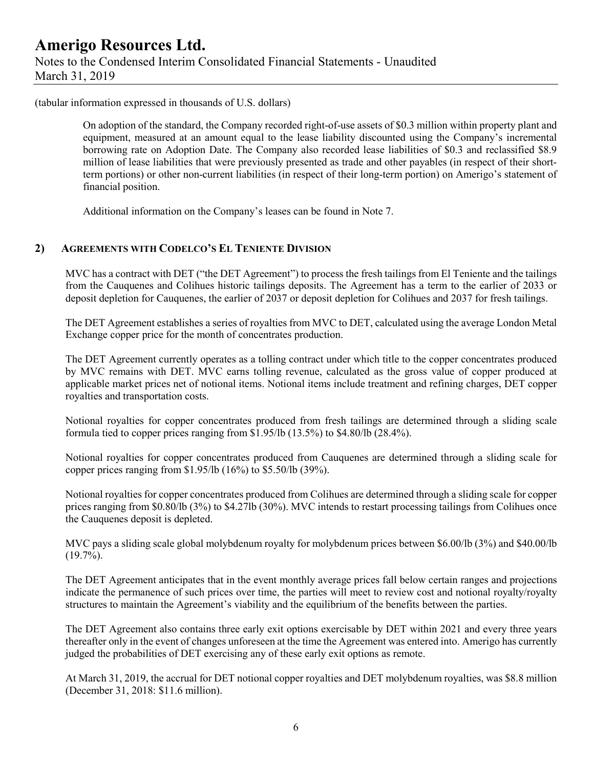### **Amerigo Resources Ltd.** Notes to the Condensed Interim Consolidated Financial Statements - Unaudited March 31, 2019

(tabular information expressed in thousands of U.S. dollars)

On adoption of the standard, the Company recorded right-of-use assets of \$0.3 million within property plant and equipment, measured at an amount equal to the lease liability discounted using the Company's incremental borrowing rate on Adoption Date. The Company also recorded lease liabilities of \$0.3 and reclassified \$8.9 million of lease liabilities that were previously presented as trade and other payables (in respect of their shortterm portions) or other non-current liabilities (in respect of their long-term portion) on Amerigo's statement of financial position.

Additional information on the Company's leases can be found in Note 7.

#### **2) AGREEMENTS WITH CODELCO'S EL TENIENTE DIVISION**

MVC has a contract with DET ("the DET Agreement") to process the fresh tailings from El Teniente and the tailings from the Cauquenes and Colihues historic tailings deposits. The Agreement has a term to the earlier of 2033 or deposit depletion for Cauquenes, the earlier of 2037 or deposit depletion for Colihues and 2037 for fresh tailings.

The DET Agreement establishes a series of royalties from MVC to DET, calculated using the average London Metal Exchange copper price for the month of concentrates production.

The DET Agreement currently operates as a tolling contract under which title to the copper concentrates produced by MVC remains with DET. MVC earns tolling revenue, calculated as the gross value of copper produced at applicable market prices net of notional items. Notional items include treatment and refining charges, DET copper royalties and transportation costs.

Notional royalties for copper concentrates produced from fresh tailings are determined through a sliding scale formula tied to copper prices ranging from \$1.95/lb (13.5%) to \$4.80/lb (28.4%).

Notional royalties for copper concentrates produced from Cauquenes are determined through a sliding scale for copper prices ranging from \$1.95/lb (16%) to \$5.50/lb (39%).

Notional royalties for copper concentrates produced from Colihues are determined through a sliding scale for copper prices ranging from \$0.80/lb (3%) to \$4.27lb (30%). MVC intends to restart processing tailings from Colihues once the Cauquenes deposit is depleted.

MVC pays a sliding scale global molybdenum royalty for molybdenum prices between \$6.00/lb (3%) and \$40.00/lb  $(19.7\%)$ .

The DET Agreement anticipates that in the event monthly average prices fall below certain ranges and projections indicate the permanence of such prices over time, the parties will meet to review cost and notional royalty/royalty structures to maintain the Agreement's viability and the equilibrium of the benefits between the parties.

The DET Agreement also contains three early exit options exercisable by DET within 2021 and every three years thereafter only in the event of changes unforeseen at the time the Agreement was entered into. Amerigo has currently judged the probabilities of DET exercising any of these early exit options as remote.

At March 31, 2019, the accrual for DET notional copper royalties and DET molybdenum royalties, was \$8.8 million (December 31, 2018: \$11.6 million).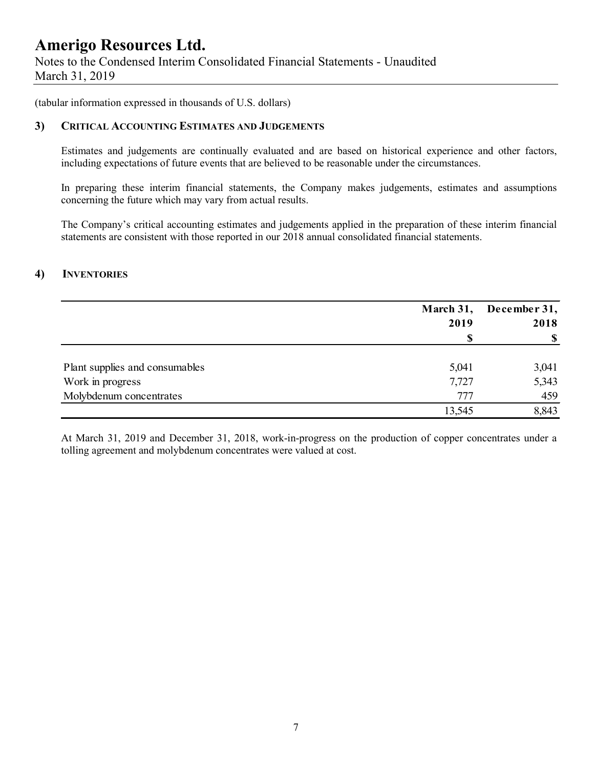Notes to the Condensed Interim Consolidated Financial Statements - Unaudited March 31, 2019

(tabular information expressed in thousands of U.S. dollars)

#### **3) CRITICAL ACCOUNTING ESTIMATES AND JUDGEMENTS**

Estimates and judgements are continually evaluated and are based on historical experience and other factors, including expectations of future events that are believed to be reasonable under the circumstances.

In preparing these interim financial statements, the Company makes judgements, estimates and assumptions concerning the future which may vary from actual results.

The Company's critical accounting estimates and judgements applied in the preparation of these interim financial statements are consistent with those reported in our 2018 annual consolidated financial statements.

#### **4) INVENTORIES**

|                                | March 31, | December 31, |  |
|--------------------------------|-----------|--------------|--|
|                                | 2019      | 2018         |  |
|                                | S         | $\mathbf{s}$ |  |
| Plant supplies and consumables | 5,041     | 3,041        |  |
| Work in progress               | 7,727     | 5,343        |  |
| Molybdenum concentrates        | 777       | 459          |  |
|                                | 13,545    | 8,843        |  |

At March 31, 2019 and December 31, 2018, work-in-progress on the production of copper concentrates under a tolling agreement and molybdenum concentrates were valued at cost.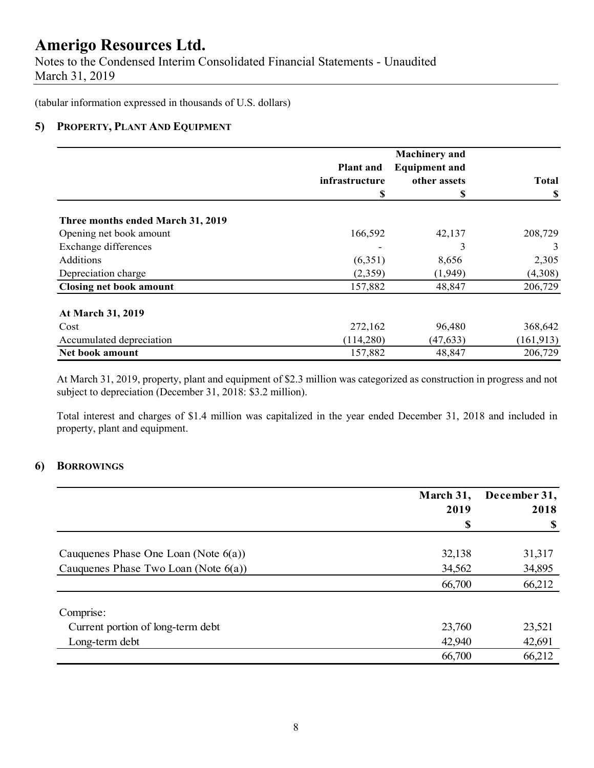Notes to the Condensed Interim Consolidated Financial Statements - Unaudited March 31, 2019

(tabular information expressed in thousands of U.S. dollars)

### **5) PROPERTY, PLANT AND EQUIPMENT**

|                                   |                  | <b>Machinery</b> and |              |
|-----------------------------------|------------------|----------------------|--------------|
|                                   | <b>Plant</b> and | <b>Equipment and</b> |              |
|                                   | infrastructure   | other assets         | <b>Total</b> |
|                                   | S                | \$                   | S            |
| Three months ended March 31, 2019 |                  |                      |              |
| Opening net book amount           | 166,592          | 42,137               | 208,729      |
| Exchange differences              |                  | 3                    | 3            |
| Additions                         | (6,351)          | 8,656                | 2,305        |
| Depreciation charge               | (2,359)          | (1,949)              | (4,308)      |
| <b>Closing net book amount</b>    | 157,882          | 48,847               | 206,729      |
| At March 31, 2019                 |                  |                      |              |
| Cost                              | 272,162          | 96,480               | 368,642      |
| Accumulated depreciation          | (114,280)        | (47, 633)            | (161, 913)   |
| Net book amount                   | 157,882          | 48,847               | 206,729      |

At March 31, 2019, property, plant and equipment of \$2.3 million was categorized as construction in progress and not subject to depreciation (December 31, 2018: \$3.2 million).

Total interest and charges of \$1.4 million was capitalized in the year ended December 31, 2018 and included in property, plant and equipment.

#### **6) BORROWINGS**

|                                         | March 31, | December 31, |
|-----------------------------------------|-----------|--------------|
|                                         | 2019      | 2018         |
|                                         |           | \$           |
| Cauquenes Phase One Loan (Note $6(a)$ ) | 32,138    | 31,317       |
| Cauquenes Phase Two Loan (Note $6(a)$ ) | 34,562    | 34,895       |
|                                         | 66,700    | 66,212       |
| Comprise:                               |           |              |
| Current portion of long-term debt       | 23,760    | 23,521       |
| Long-term debt                          | 42,940    | 42,691       |
|                                         | 66,700    | 66,212       |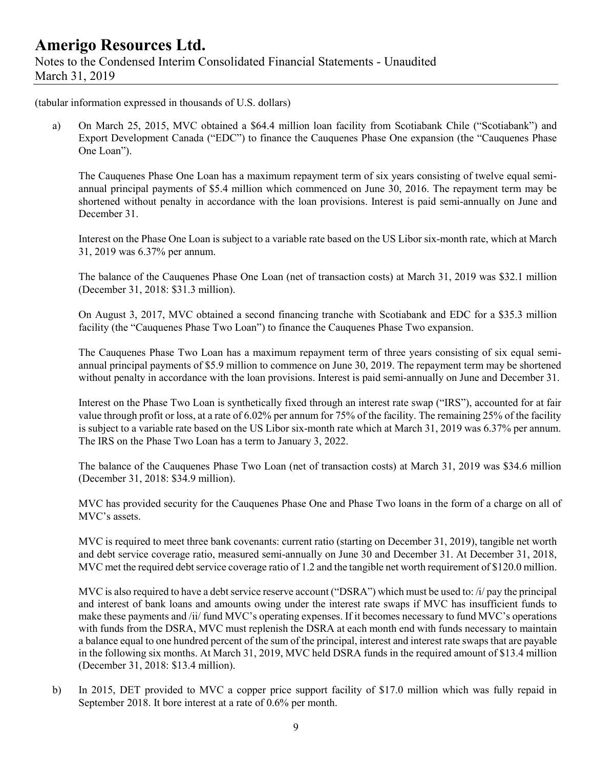(tabular information expressed in thousands of U.S. dollars)

a) On March 25, 2015, MVC obtained a \$64.4 million loan facility from Scotiabank Chile ("Scotiabank") and Export Development Canada ("EDC") to finance the Cauquenes Phase One expansion (the "Cauquenes Phase One Loan").

The Cauquenes Phase One Loan has a maximum repayment term of six years consisting of twelve equal semiannual principal payments of \$5.4 million which commenced on June 30, 2016. The repayment term may be shortened without penalty in accordance with the loan provisions. Interest is paid semi-annually on June and December 31.

Interest on the Phase One Loan is subject to a variable rate based on the US Libor six-month rate, which at March 31, 2019 was 6.37% per annum.

The balance of the Cauquenes Phase One Loan (net of transaction costs) at March 31, 2019 was \$32.1 million (December 31, 2018: \$31.3 million).

On August 3, 2017, MVC obtained a second financing tranche with Scotiabank and EDC for a \$35.3 million facility (the "Cauquenes Phase Two Loan") to finance the Cauquenes Phase Two expansion.

The Cauquenes Phase Two Loan has a maximum repayment term of three years consisting of six equal semiannual principal payments of \$5.9 million to commence on June 30, 2019. The repayment term may be shortened without penalty in accordance with the loan provisions. Interest is paid semi-annually on June and December 31.

Interest on the Phase Two Loan is synthetically fixed through an interest rate swap ("IRS"), accounted for at fair value through profit or loss, at a rate of 6.02% per annum for 75% of the facility. The remaining 25% of the facility is subject to a variable rate based on the US Libor six-month rate which at March 31, 2019 was 6.37% per annum. The IRS on the Phase Two Loan has a term to January 3, 2022.

The balance of the Cauquenes Phase Two Loan (net of transaction costs) at March 31, 2019 was \$34.6 million (December 31, 2018: \$34.9 million).

MVC has provided security for the Cauquenes Phase One and Phase Two loans in the form of a charge on all of MVC's assets.

MVC is required to meet three bank covenants: current ratio (starting on December 31, 2019), tangible net worth and debt service coverage ratio, measured semi-annually on June 30 and December 31. At December 31, 2018, MVC met the required debt service coverage ratio of 1.2 and the tangible net worth requirement of \$120.0 million.

MVC is also required to have a debt service reserve account ("DSRA") which must be used to: /i/ pay the principal and interest of bank loans and amounts owing under the interest rate swaps if MVC has insufficient funds to make these payments and /ii/ fund MVC's operating expenses. If it becomes necessary to fund MVC's operations with funds from the DSRA, MVC must replenish the DSRA at each month end with funds necessary to maintain a balance equal to one hundred percent of the sum of the principal, interest and interest rate swaps that are payable in the following six months. At March 31, 2019, MVC held DSRA funds in the required amount of \$13.4 million (December 31, 2018: \$13.4 million).

b) In 2015, DET provided to MVC a copper price support facility of \$17.0 million which was fully repaid in September 2018. It bore interest at a rate of 0.6% per month.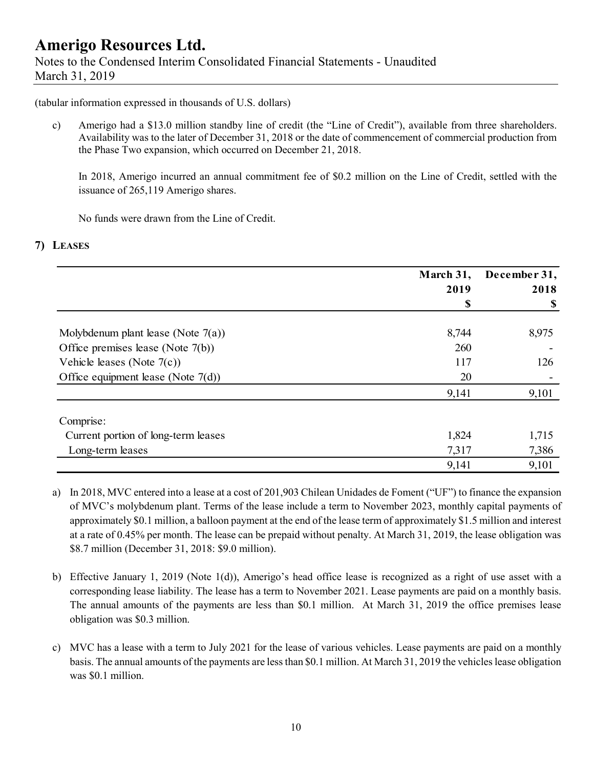### **Amerigo Resources Ltd.** Notes to the Condensed Interim Consolidated Financial Statements - Unaudited March 31, 2019

(tabular information expressed in thousands of U.S. dollars)

c) Amerigo had a \$13.0 million standby line of credit (the "Line of Credit"), available from three shareholders. Availability was to the later of December 31, 2018 or the date of commencement of commercial production from the Phase Two expansion, which occurred on December 21, 2018.

In 2018, Amerigo incurred an annual commitment fee of \$0.2 million on the Line of Credit, settled with the issuance of 265,119 Amerigo shares.

No funds were drawn from the Line of Credit.

### **7) LEASES**

|                                       | March 31,<br>2019 | December 31,<br>2018 |
|---------------------------------------|-------------------|----------------------|
|                                       | \$                | \$                   |
| Molybdenum plant lease (Note $7(a)$ ) | 8,744             | 8,975                |
| Office premises lease (Note $7(b)$ )  | 260               |                      |
| Vehicle leases (Note $7(c)$ )         | 117               | 126                  |
| Office equipment lease (Note $7(d)$ ) | 20                |                      |
|                                       | 9,141             | 9,101                |
| Comprise:                             |                   |                      |
| Current portion of long-term leases   | 1,824             | 1,715                |
| Long-term leases                      | 7,317             | 7,386                |
|                                       | 9,141             | 9,101                |

- a) In 2018, MVC entered into a lease at a cost of 201,903 Chilean Unidades de Foment ("UF") to finance the expansion of MVC's molybdenum plant. Terms of the lease include a term to November 2023, monthly capital payments of approximately \$0.1 million, a balloon payment at the end of the lease term of approximately \$1.5 million and interest at a rate of 0.45% per month. The lease can be prepaid without penalty. At March 31, 2019, the lease obligation was \$8.7 million (December 31, 2018: \$9.0 million).
- b) Effective January 1, 2019 (Note 1(d)), Amerigo's head office lease is recognized as a right of use asset with a corresponding lease liability. The lease has a term to November 2021. Lease payments are paid on a monthly basis. The annual amounts of the payments are less than \$0.1 million. At March 31, 2019 the office premises lease obligation was \$0.3 million.
- c) MVC has a lease with a term to July 2021 for the lease of various vehicles. Lease payments are paid on a monthly basis. The annual amounts of the payments are less than \$0.1 million. At March 31, 2019 the vehicles lease obligation was \$0.1 million.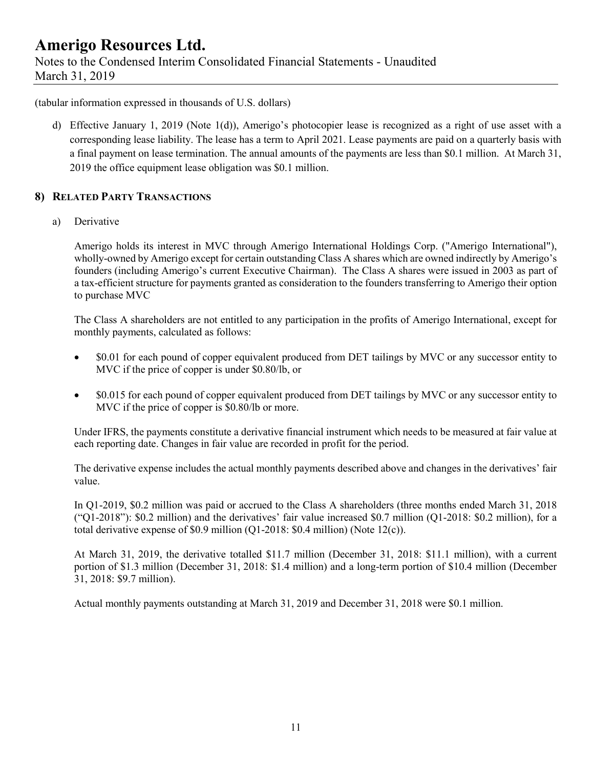### **Amerigo Resources Ltd.** Notes to the Condensed Interim Consolidated Financial Statements - Unaudited March 31, 2019

(tabular information expressed in thousands of U.S. dollars)

d) Effective January 1, 2019 (Note 1(d)), Amerigo's photocopier lease is recognized as a right of use asset with a corresponding lease liability. The lease has a term to April 2021. Lease payments are paid on a quarterly basis with a final payment on lease termination. The annual amounts of the payments are less than \$0.1 million. At March 31, 2019 the office equipment lease obligation was \$0.1 million.

### **8) RELATED PARTY TRANSACTIONS**

a) Derivative

Amerigo holds its interest in MVC through Amerigo International Holdings Corp. ("Amerigo International"), wholly-owned by Amerigo except for certain outstanding Class A shares which are owned indirectly by Amerigo's founders (including Amerigo's current Executive Chairman). The Class A shares were issued in 2003 as part of a tax-efficient structure for payments granted as consideration to the founders transferring to Amerigo their option to purchase MVC

The Class A shareholders are not entitled to any participation in the profits of Amerigo International, except for monthly payments, calculated as follows:

- \$0.01 for each pound of copper equivalent produced from DET tailings by MVC or any successor entity to MVC if the price of copper is under \$0.80/lb, or
- \$0.015 for each pound of copper equivalent produced from DET tailings by MVC or any successor entity to MVC if the price of copper is \$0.80/lb or more.

Under IFRS, the payments constitute a derivative financial instrument which needs to be measured at fair value at each reporting date. Changes in fair value are recorded in profit for the period.

The derivative expense includes the actual monthly payments described above and changes in the derivatives' fair value.

In Q1-2019, \$0.2 million was paid or accrued to the Class A shareholders (three months ended March 31, 2018 ("Q1-2018"): \$0.2 million) and the derivatives' fair value increased \$0.7 million (Q1-2018: \$0.2 million), for a total derivative expense of \$0.9 million (Q1-2018: \$0.4 million) (Note 12(c)).

At March 31, 2019, the derivative totalled \$11.7 million (December 31, 2018: \$11.1 million), with a current portion of \$1.3 million (December 31, 2018: \$1.4 million) and a long-term portion of \$10.4 million (December 31, 2018: \$9.7 million).

Actual monthly payments outstanding at March 31, 2019 and December 31, 2018 were \$0.1 million.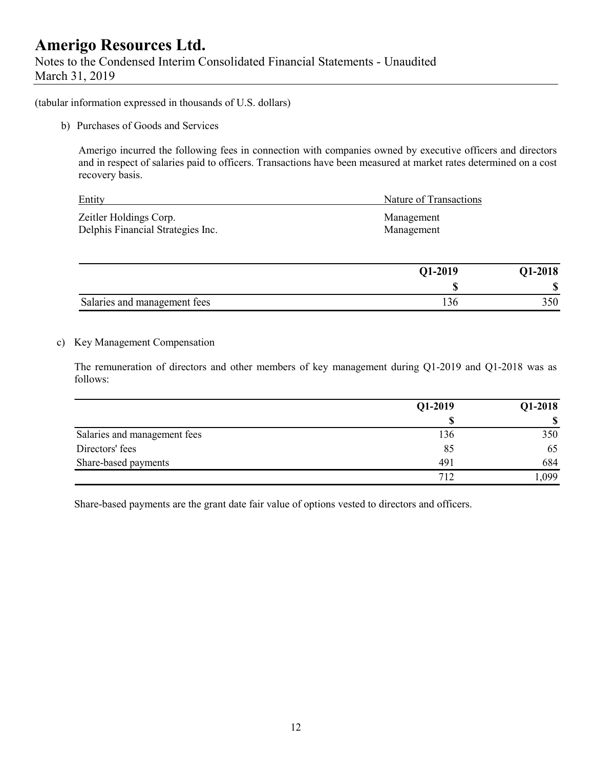Notes to the Condensed Interim Consolidated Financial Statements - Unaudited March 31, 2019

(tabular information expressed in thousands of U.S. dollars)

b) Purchases of Goods and Services

Amerigo incurred the following fees in connection with companies owned by executive officers and directors and in respect of salaries paid to officers. Transactions have been measured at market rates determined on a cost recovery basis.

| Entity                            | Nature of Transactions |
|-----------------------------------|------------------------|
| Zeitler Holdings Corp.            | Management             |
| Delphis Financial Strategies Inc. | Management             |

|                              | Q1-2019 | <b>Q1-2018</b> |
|------------------------------|---------|----------------|
|                              | ۱D      | M<br>υ٥        |
| Salaries and management fees | 1 2 O   | 350            |

#### c) Key Management Compensation

The remuneration of directors and other members of key management during Q1-2019 and Q1-2018 was as follows:

|                              | Q1-2019 | Q1-2018 |
|------------------------------|---------|---------|
|                              |         |         |
| Salaries and management fees | 136     | 350     |
| Directors' fees              | 85      | 65      |
| Share-based payments         | 491     | 684     |
|                              | 712     | ,099    |

Share-based payments are the grant date fair value of options vested to directors and officers.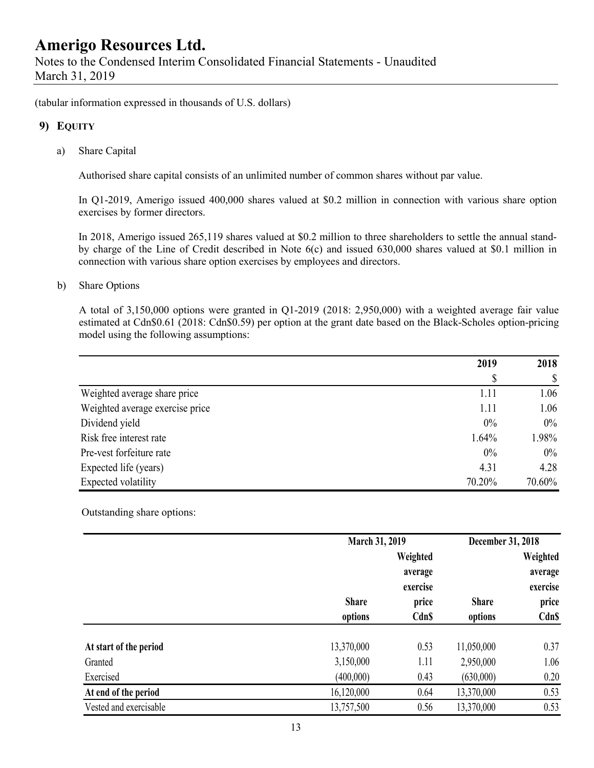(tabular information expressed in thousands of U.S. dollars)

### **9) EQUITY**

a) Share Capital

Authorised share capital consists of an unlimited number of common shares without par value.

In Q1-2019, Amerigo issued 400,000 shares valued at \$0.2 million in connection with various share option exercises by former directors.

In 2018, Amerigo issued 265,119 shares valued at \$0.2 million to three shareholders to settle the annual standby charge of the Line of Credit described in Note 6(c) and issued 630,000 shares valued at \$0.1 million in connection with various share option exercises by employees and directors.

#### b) Share Options

A total of 3,150,000 options were granted in Q1-2019 (2018: 2,950,000) with a weighted average fair value estimated at Cdn\$0.61 (2018: Cdn\$0.59) per option at the grant date based on the Black-Scholes option-pricing model using the following assumptions:

|                                 | 2019   | 2018   |
|---------------------------------|--------|--------|
|                                 | S      |        |
| Weighted average share price    | 1.11   | 1.06   |
| Weighted average exercise price | 1.11   | 1.06   |
| Dividend yield                  | $0\%$  | $0\%$  |
| Risk free interest rate         | 1.64%  | 1.98%  |
| Pre-vest forfeiture rate        | $0\%$  | $0\%$  |
| Expected life (years)           | 4.31   | 4.28   |
| Expected volatility             | 70.20% | 70.60% |

Outstanding share options:

|                        |              | March 31, 2019 |              | December 31, 2018 |  |
|------------------------|--------------|----------------|--------------|-------------------|--|
|                        |              | Weighted       |              | Weighted          |  |
|                        |              | average        |              | average           |  |
|                        |              | exercise       |              | exercise          |  |
|                        | <b>Share</b> | price          | <b>Share</b> | price             |  |
|                        | options      | Cdn\$          | options      | Cdn\$             |  |
|                        |              |                |              |                   |  |
| At start of the period | 13,370,000   | 0.53           | 11,050,000   | 0.37              |  |
| Granted                | 3,150,000    | 1.11           | 2,950,000    | 1.06              |  |
| Exercised              | (400,000)    | 0.43           | (630,000)    | 0.20              |  |
| At end of the period   | 16,120,000   | 0.64           | 13,370,000   | 0.53              |  |
| Vested and exercisable | 13,757,500   | 0.56           | 13,370,000   | 0.53              |  |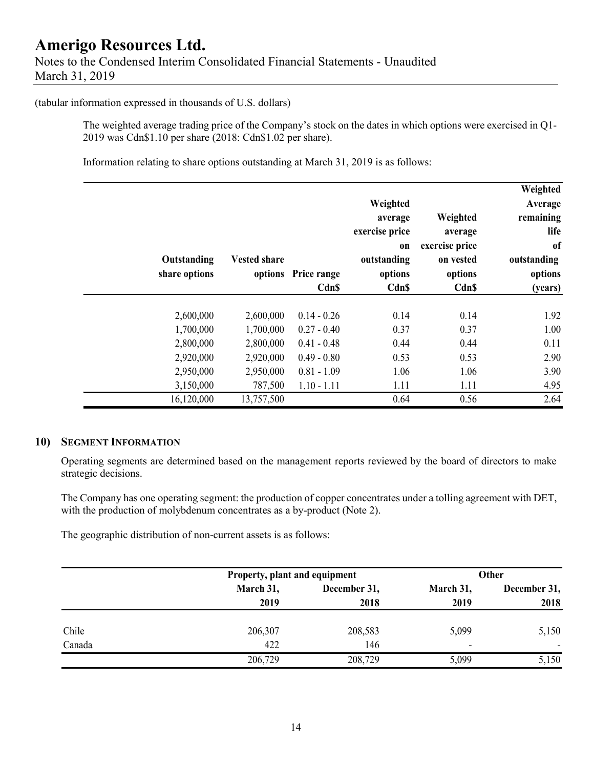#### (tabular information expressed in thousands of U.S. dollars)

The weighted average trading price of the Company's stock on the dates in which options were exercised in Q1- 2019 was Cdn\$1.10 per share (2018: Cdn\$1.02 per share).

Information relating to share options outstanding at March 31, 2019 is as follows:

|               |                     |               |                |                | Weighted      |
|---------------|---------------------|---------------|----------------|----------------|---------------|
|               |                     |               | Weighted       |                | Average       |
|               |                     |               | average        | Weighted       | remaining     |
|               |                     |               | exercise price | average        | life          |
|               |                     |               | on             | exercise price | <sub>of</sub> |
| Outstanding   | <b>Vested share</b> |               | outstanding    | on vested      | outstanding   |
| share options | options             | Price range   | options        | options        | options       |
|               |                     | <b>CdnS</b>   | <b>Cdn\$</b>   | Cdn\$          | (years)       |
|               |                     |               |                |                |               |
| 2,600,000     | 2,600,000           | $0.14 - 0.26$ | 0.14           | 0.14           | 1.92          |
| 1,700,000     | 1,700,000           | $0.27 - 0.40$ | 0.37           | 0.37           | 1.00          |
| 2,800,000     | 2,800,000           | $0.41 - 0.48$ | 0.44           | 0.44           | 0.11          |
| 2,920,000     | 2,920,000           | $0.49 - 0.80$ | 0.53           | 0.53           | 2.90          |
| 2,950,000     | 2,950,000           | $0.81 - 1.09$ | 1.06           | 1.06           | 3.90          |
| 3,150,000     | 787,500             | $1.10 - 1.11$ | 1.11           | 1.11           | 4.95          |
| 16,120,000    | 13,757,500          |               | 0.64           | 0.56           | 2.64          |

#### **10) SEGMENT INFORMATION**

Operating segments are determined based on the management reports reviewed by the board of directors to make strategic decisions.

The Company has one operating segment: the production of copper concentrates under a tolling agreement with DET, with the production of molybdenum concentrates as a by-product (Note 2).

The geographic distribution of non-current assets is as follows:

|        |           | Property, plant and equipment |                          | Other                    |  |
|--------|-----------|-------------------------------|--------------------------|--------------------------|--|
|        | March 31, | December 31,                  | March 31,                | December 31,             |  |
|        | 2019      | 2018                          | 2019                     | 2018                     |  |
| Chile  | 206,307   | 208,583                       | 5,099                    | 5,150                    |  |
| Canada | 422       | 146                           | $\overline{\phantom{0}}$ | $\overline{\phantom{0}}$ |  |
|        | 206,729   | 208,729                       | 5,099                    | 5,150                    |  |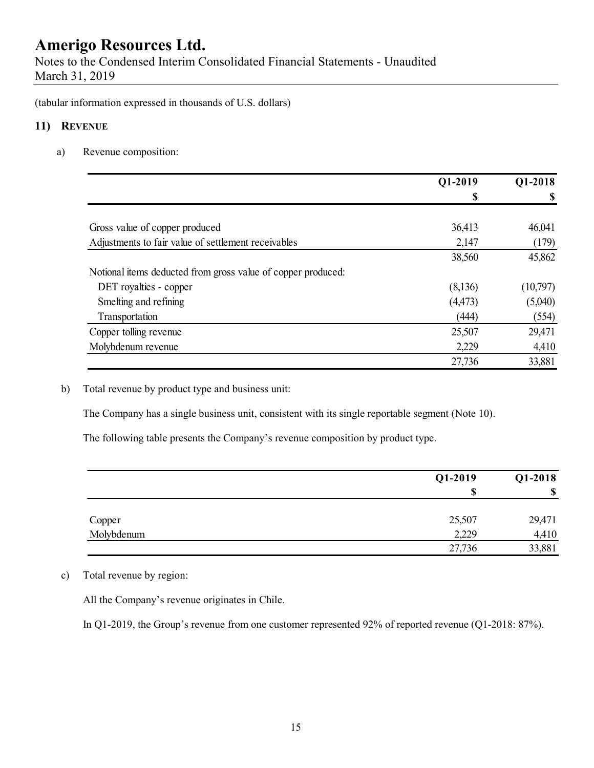Notes to the Condensed Interim Consolidated Financial Statements - Unaudited March 31, 2019

(tabular information expressed in thousands of U.S. dollars)

### **11) REVENUE**

a) Revenue composition:

|                                                              | Q1-2019  | Q1-2018  |
|--------------------------------------------------------------|----------|----------|
|                                                              | S        |          |
| Gross value of copper produced                               | 36,413   | 46,041   |
| Adjustments to fair value of settlement receivables          | 2,147    |          |
|                                                              |          | (179)    |
|                                                              | 38,560   | 45,862   |
| Notional items deducted from gross value of copper produced: |          |          |
| DET royalties - copper                                       | (8,136)  | (10,797) |
| Smelting and refining                                        | (4, 473) | (5,040)  |
| Transportation                                               | (444)    | (554)    |
| Copper tolling revenue                                       | 25,507   | 29,471   |
| Molybdenum revenue                                           | 2,229    | 4,410    |
|                                                              | 27,736   | 33,881   |

b) Total revenue by product type and business unit:

The Company has a single business unit, consistent with its single reportable segment (Note 10).

The following table presents the Company's revenue composition by product type.

|            | Q1-2019 | Q1-2018 |
|------------|---------|---------|
|            | ¢<br>٨D | ◐<br>Φ  |
| Copper     | 25,507  | 29,471  |
| Molybdenum | 2,229   | 4,410   |
|            | 27,736  | 33,881  |

c) Total revenue by region:

All the Company's revenue originates in Chile.

In Q1-2019, the Group's revenue from one customer represented 92% of reported revenue (Q1-2018: 87%).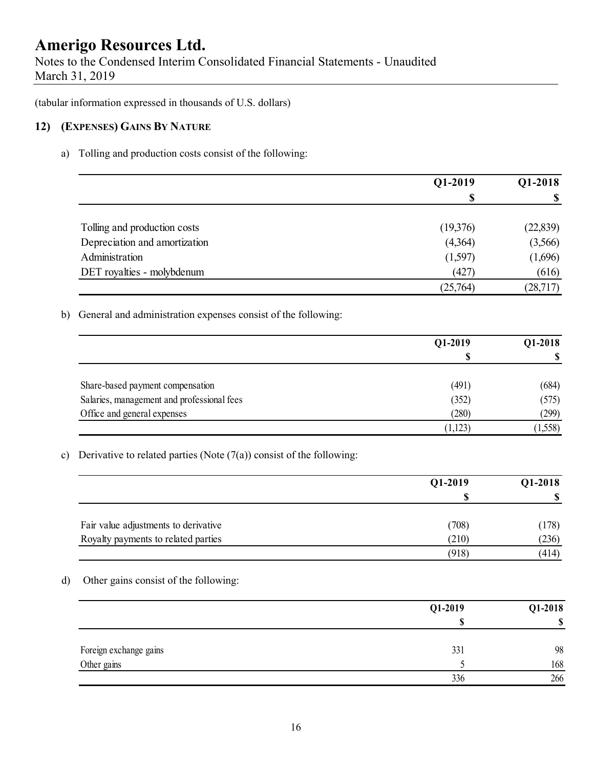Notes to the Condensed Interim Consolidated Financial Statements - Unaudited March 31, 2019

(tabular information expressed in thousands of U.S. dollars)

#### **12) (EXPENSES) GAINS BY NATURE**

a) Tolling and production costs consist of the following:

|                               | Q1-2019  | Q1-2018                   |  |
|-------------------------------|----------|---------------------------|--|
|                               | \$       | $\boldsymbol{\mathsf{S}}$ |  |
| Tolling and production costs  | (19,376) | (22, 839)                 |  |
| Depreciation and amortization | (4,364)  | (3,566)                   |  |
| Administration                | (1,597)  | (1,696)                   |  |
| DET royalties - molybdenum    | (427)    | (616)                     |  |
|                               | (25,764) | (28, 717)                 |  |

b) General and administration expenses consist of the following:

|                                            | Q1-2019 | Q1-2018 |
|--------------------------------------------|---------|---------|
|                                            |         |         |
| Share-based payment compensation           | (491)   | (684)   |
| Salaries, management and professional fees | (352)   | (575)   |
| Office and general expenses                | (280)   | (299)   |
|                                            | 1,123   | (1,558) |

c) Derivative to related parties (Note  $(7(a))$  consist of the following:

|                                      | Q1-2019 | Q1-2018 |
|--------------------------------------|---------|---------|
|                                      | S       |         |
| Fair value adjustments to derivative | (708)   | (178)   |
| Royalty payments to related parties  | (210)   | (236)   |
|                                      | (918)   | (414)   |

d) Other gains consist of the following:

|                        | Q1-2019 | Q1-2018 |
|------------------------|---------|---------|
|                        |         | ¢<br>Φ  |
| Foreign exchange gains | 331     | 98      |
| Other gains            |         | 168     |
|                        | 336     | 266     |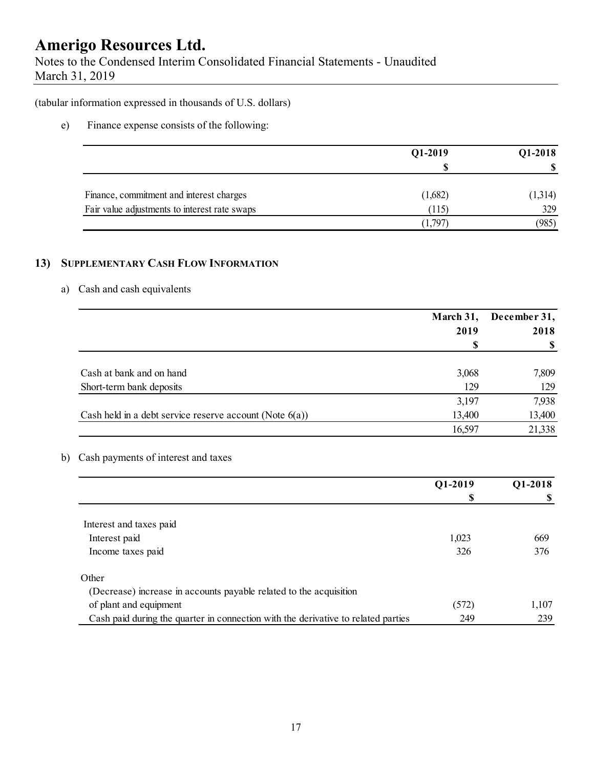Notes to the Condensed Interim Consolidated Financial Statements - Unaudited March 31, 2019

(tabular information expressed in thousands of U.S. dollars)

e) Finance expense consists of the following:

|                                               | Q1-2019 | Q1-2018 |
|-----------------------------------------------|---------|---------|
|                                               |         |         |
| Finance, commitment and interest charges      | (1,682) | (1,314) |
| Fair value adjustments to interest rate swaps | (115)   | 329     |
|                                               | (1,797) | (985)   |

### **13) SUPPLEMENTARY CASH FLOW INFORMATION**

### a) Cash and cash equivalents

|                                                            | March 31, | December 31, |  |
|------------------------------------------------------------|-----------|--------------|--|
|                                                            | 2019      | 2018         |  |
|                                                            | S         |              |  |
| Cash at bank and on hand                                   | 3,068     | 7,809        |  |
| Short-term bank deposits                                   | 129       | 129          |  |
|                                                            | 3,197     | 7,938        |  |
| Cash held in a debt service reserve account (Note $6(a)$ ) | 13,400    | 13,400       |  |
|                                                            | 16,597    | 21,338       |  |

b) Cash payments of interest and taxes

|                                                                                   | Q1-2019 | Q1-2018 |
|-----------------------------------------------------------------------------------|---------|---------|
|                                                                                   | S       |         |
|                                                                                   |         |         |
| Interest and taxes paid                                                           |         |         |
| Interest paid                                                                     | 1,023   | 669     |
| Income taxes paid                                                                 | 326     | 376     |
| Other                                                                             |         |         |
| (Decrease) increase in accounts payable related to the acquisition                |         |         |
| of plant and equipment                                                            | (572)   | 1,107   |
| Cash paid during the quarter in connection with the derivative to related parties | 249     | 239     |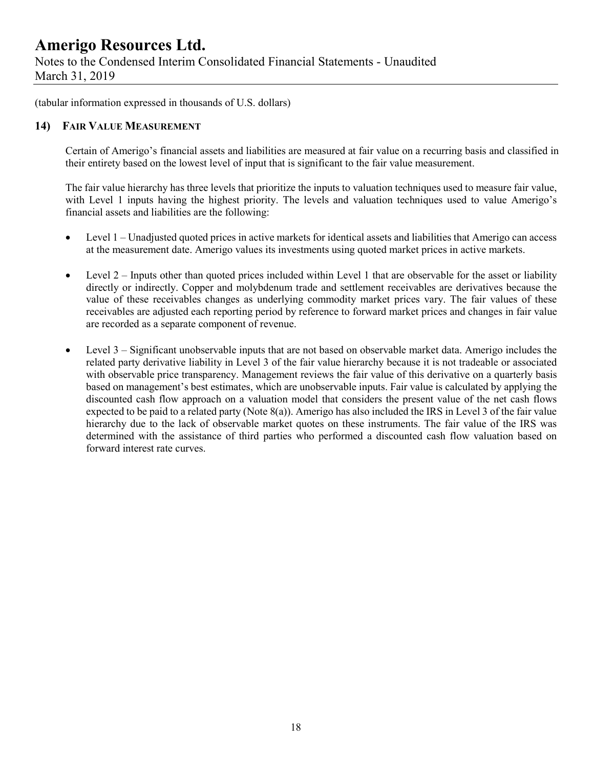Notes to the Condensed Interim Consolidated Financial Statements - Unaudited March 31, 2019

(tabular information expressed in thousands of U.S. dollars)

#### **14) FAIR VALUE MEASUREMENT**

Certain of Amerigo's financial assets and liabilities are measured at fair value on a recurring basis and classified in their entirety based on the lowest level of input that is significant to the fair value measurement.

The fair value hierarchy has three levels that prioritize the inputs to valuation techniques used to measure fair value, with Level 1 inputs having the highest priority. The levels and valuation techniques used to value Amerigo's financial assets and liabilities are the following:

- Level 1 Unadjusted quoted prices in active markets for identical assets and liabilities that Amerigo can access at the measurement date. Amerigo values its investments using quoted market prices in active markets.
- Level  $2$  Inputs other than quoted prices included within Level 1 that are observable for the asset or liability directly or indirectly. Copper and molybdenum trade and settlement receivables are derivatives because the value of these receivables changes as underlying commodity market prices vary. The fair values of these receivables are adjusted each reporting period by reference to forward market prices and changes in fair value are recorded as a separate component of revenue.
- Level 3 Significant unobservable inputs that are not based on observable market data. Amerigo includes the related party derivative liability in Level 3 of the fair value hierarchy because it is not tradeable or associated with observable price transparency. Management reviews the fair value of this derivative on a quarterly basis based on management's best estimates, which are unobservable inputs. Fair value is calculated by applying the discounted cash flow approach on a valuation model that considers the present value of the net cash flows expected to be paid to a related party (Note 8(a)). Amerigo has also included the IRS in Level 3 of the fair value hierarchy due to the lack of observable market quotes on these instruments. The fair value of the IRS was determined with the assistance of third parties who performed a discounted cash flow valuation based on forward interest rate curves.